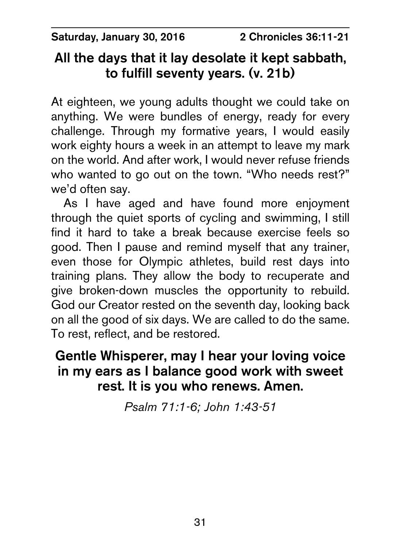Saturday, January 30, 2016 2 Chronicles 36:11-21

# All the days that it lay desolate it kept sabbath, to fulfill seventy years. (v. 21b)

At eighteen, we young adults thought we could take on anything. We were bundles of energy, ready for every challenge. Through my formative years, I would easily work eighty hours a week in an attempt to leave my mark on the world. And after work, I would never refuse friends who wanted to go out on the town. "Who needs rest?" we'd often say.

As I have aged and have found more enjoyment through the quiet sports of cycling and swimming, I still find it hard to take a break because exercise feels so good. Then I pause and remind myself that any trainer, even those for Olympic athletes, build rest days into training plans. They allow the body to recuperate and give broken-down muscles the opportunity to rebuild. God our Creator rested on the seventh day, looking back on all the good of six days. We are called to do the same. To rest, reflect, and be restored.

## Gentle Whisperer, may I hear your loving voice in my ears as I balance good work with sweet rest. It is you who renews. Amen.

*Psalm 71:1-6; John 1:43-51*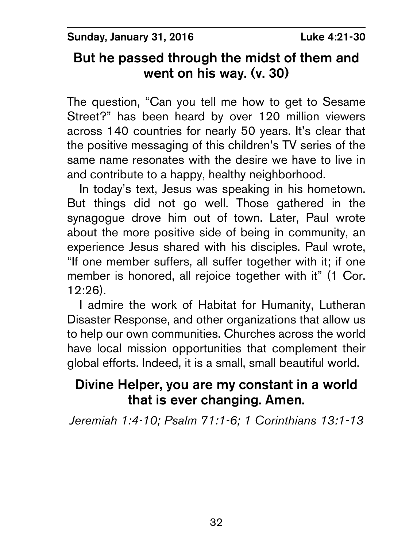Sunday, January 31, 2016 **Luke 4:21-30** 

# But he passed through the midst of them and went on his way. (v. 30)

The question, "Can you tell me how to get to Sesame Street?" has been heard by over 120 million viewers across 140 countries for nearly 50 years. It's clear that the positive messaging of this children's TV series of the same name resonates with the desire we have to live in and contribute to a happy, healthy neighborhood.

In today's text, Jesus was speaking in his hometown. But things did not go well. Those gathered in the synagogue drove him out of town. Later, Paul wrote about the more positive side of being in community, an experience Jesus shared with his disciples. Paul wrote, "If one member suffers, all suffer together with it; if one member is honored, all rejoice together with it" (1 Cor. 12:26).

I admire the work of Habitat for Humanity, Lutheran Disaster Response, and other organizations that allow us to help our own communities. Churches across the world have local mission opportunities that complement their global efforts. Indeed, it is a small, small beautiful world.

# Divine Helper, you are my constant in a world that is ever changing. Amen.

*Jeremiah 1:4-10; Psalm 71:1-6; 1 Corinthians 13:1-13*